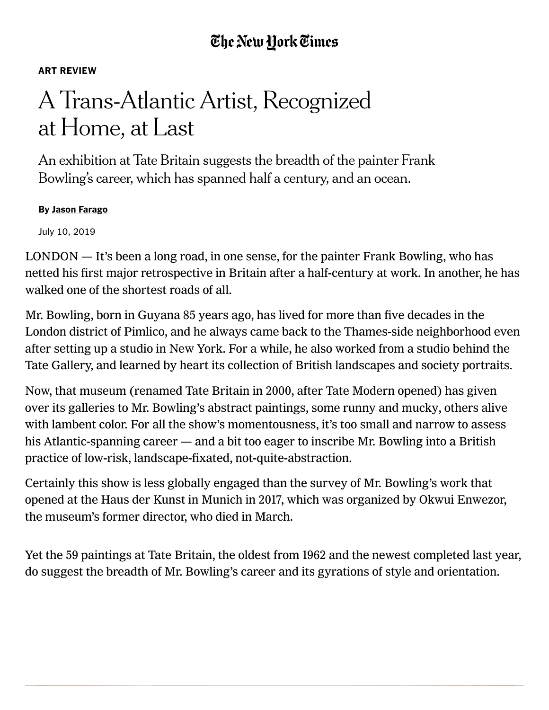## ART REVIEW

## A Trans-Atlantic Artist, Recognized at Home, at Last

An exhibition at Tate Britain suggests the breadth of the painter Frank Bowling's career, which has spanned half a century, and an ocean.

## By Jason Farago

July 10, 2019

 $LONDON - It's been a long road, in one sense, for the painter Frank Bowling, who has$ netted his first major retrospective in Britain after a half-century at work. In another, he has walked one of the shortest roads of all.

Mr. Bowling, born in Guyana 85 years ago, has lived for more than five decades in the London district of Pimlico, and he always came back to the Thames-side neighborhood even after setting up a studio in New York. For a while, he also worked from a studio behind the Tate Gallery, and learned by heart its collection of British landscapes and society portraits.

Now, that museum (renamed Tate Britain in 2000, after Tate Modern opened) has given over its galleries to Mr. Bowling's abstract paintings, some runny and mucky, others alive with lambent color. For all the show's momentousness, it's too small and narrow to assess his Atlantic-spanning career  $-$  and a bit too eager to inscribe Mr. Bowling into a British practice of low-risk, landscape-fixated, not-quite-abstraction.

Certainly this show is less globally engaged than the survey of Mr. Bowling's work that opened at the Haus der Kunst in Munich in 2017, which was organized by Okwui Enwezor, the museum's former director, who died in March.

Yet the 59 paintings at Tate Britain, the oldest from 1962 and the newest completed last year, do suggest the breadth of Mr. Bowling's career and its gyrations of style and orientation.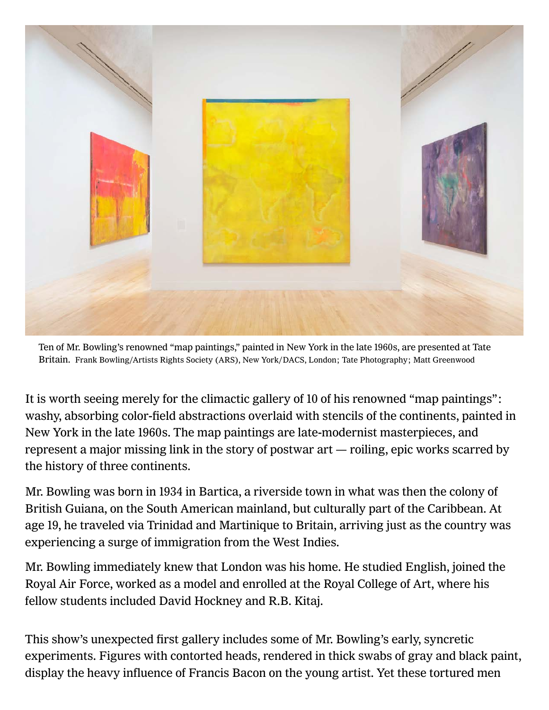

Ten of Mr. Bowling's renowned "map paintings," painted in New York in the late 1960s, are presented at Tate Britain. Frank Bowling/Artists Rights Society (ARS), New York/DACS, London; Tate Photography; Matt Greenwood

It is worth seeing merely for the climactic gallery of 10 of his renowned "map paintings": washy, absorbing color-field abstractions overlaid with stencils of the continents, painted in New York in the late 1960s. The map paintings are late-modernist masterpieces, and represent a major missing link in the story of postwar  $art$  — roiling, epic works scarred by the history of three continents.

Mr. Bowling was born in 1934 in Bartica, a riverside town in what was then the colony of British Guiana, on the South American mainland, but culturally part of the Caribbean. At age 19, he traveled via Trinidad and Martinique to Britain, arriving just as the country was experiencing a surge of immigration from the West Indies.

Mr. Bowling immediately knew that London was his home. He studied English, joined the Royal Air Force, worked as a model and enrolled at the Royal College of Art, where his fellow students included David Hockney and R.B. Kitaj.

This show's unexpected first gallery includes some of Mr. Bowling's early, syncretic experiments. Figures with contorted heads, rendered in thick swabs of gray and black paint, display the heavy influence of Francis Bacon on the young artist. Yet these tortured men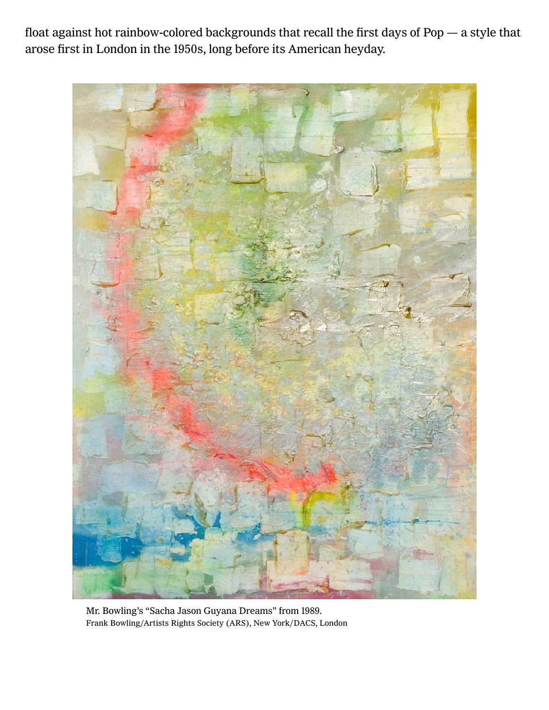float against hot rainbow-colored backgrounds that recall the first days of  $Pop - a$  style that arose first in London in the 1950s, long before its American heyday.



Mr. Bowling's "Sacha Jason Guyana Dreams" from 1989. Frank Bowling/Artists Rights Society (ARS), New York/DACS, London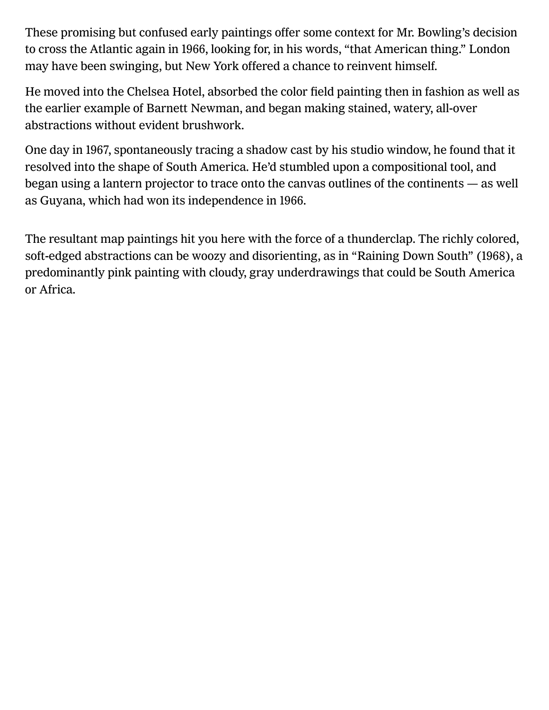These promising but confused early paintings offer some context for Mr. Bowling's decision to cross the Atlantic again in 1966, looking for, in his words, "that American thing." London may have been swinging, but New York offered a chance to reinvent himself.

He moved into the Chelsea Hotel, absorbed the color field painting then in fashion as well as the earlier example of Barnett Newman, and began making stained, watery, all-over abstractions without evident brushwork.

One day in 1967, spontaneously tracing a shadow cast by his studio window, he found that it resolved into the shape of South America. He'd stumbled upon a compositional tool, and began using a lantern projector to trace onto the canvas outlines of the continents  $-$  as well as Guyana, which had won its independence in 1966.

The resultant map paintings hit you here with the force of a thunderclap. The richly colored, soft-edged abstractions can be woozy and disorienting, as in "Raining Down South" (1968), a predominantly pink painting with cloudy, gray underdrawings that could be South America or Africa.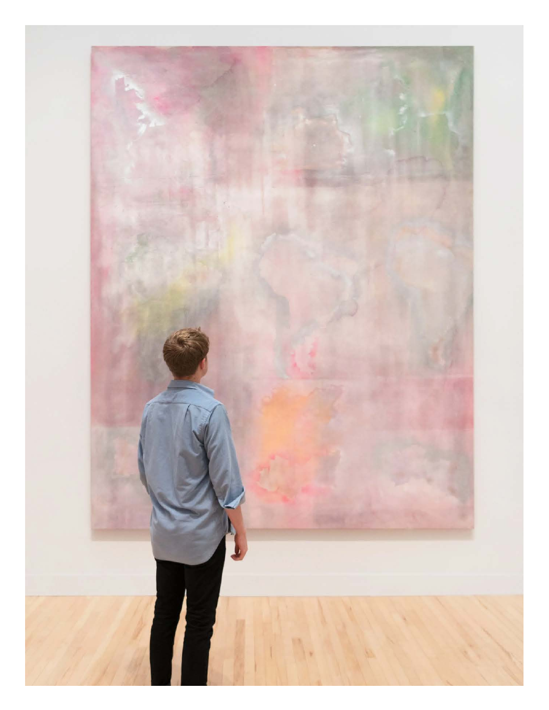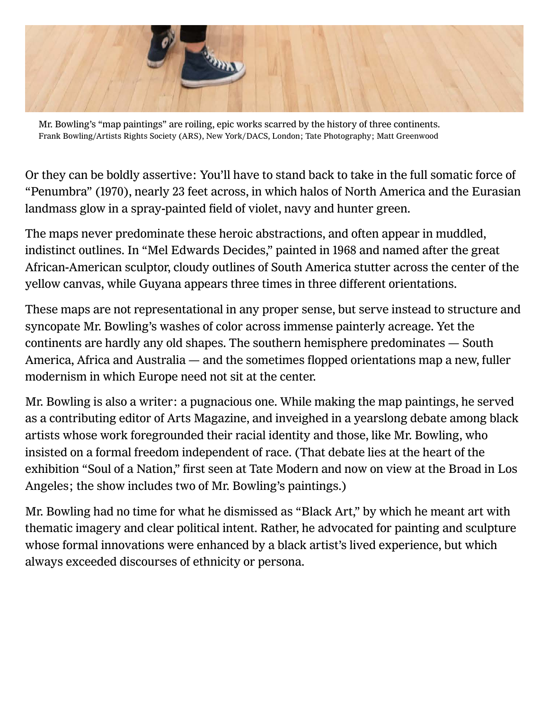

Mr. Bowling's "map paintings" are roiling, epic works scarred by the history of three continents. Frank Bowling/Artists Rights Society (ARS), New York/DACS, London; Tate Photography; Matt Greenwood

Or they can be boldly assertive: You'll have to stand back to take in the full somatic force of "Penumbra" (1970), nearly 23 feet across, in which halos of North America and the Eurasian landmass glow in a spray-painted field of violet, navy and hunter green.

The maps never predominate these heroic abstractions, and often appear in muddled, indistinct outlines. In "Mel Edwards Decides," painted in 1968 and named after the great African-American sculptor, cloudy outlines of South America stutter across the center of the yellow canvas, while Guyana appears three times in three different orientations.

These maps are not representational in any proper sense, but serve instead to structure and syncopate Mr. Bowling's washes of color across immense painterly acreage. Yet the continents are hardly any old shapes. The southern hemisphere predominates  $-$  South America, Africa and Australia — and the sometimes flopped orientations map a new, fuller modernism in which Europe need not sit at the center.

Mr. Bowling is also a writer: a pugnacious one. While making the map paintings, he served as a contributing editor of Arts Magazine, and inveighed in a yearslong debate among black artists whose work foregrounded their racial identity and those, like Mr. Bowling, who insisted on a formal freedom independent of race. (That debate lies at the heart of the exhibition "Soul of a Nation," first seen at Tate Modern and now on view at the Broad in Los Angeles; the show includes two of Mr. Bowling's paintings.)

Mr. Bowling had no time for what he dismissed as "Black Art," by which he meant art with thematic imagery and clear political intent. Rather, he advocated for painting and sculpture whose formal innovations were enhanced by a black artist's lived experience, but which always exceeded discourses of ethnicity or persona.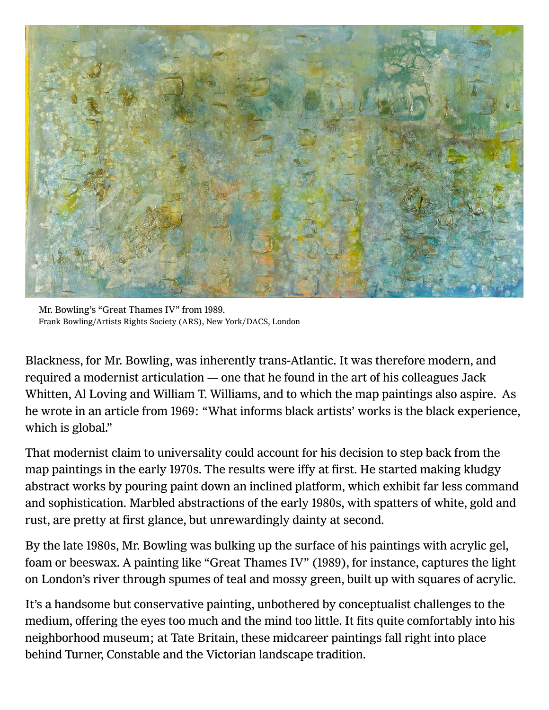

Mr. Bowling's "Great Thames IV" from 1989. Frank Bowling/Artists Rights Society (ARS), New York/DACS, London

Blackness, for Mr. Bowling, was inherently trans-Atlantic. It was therefore modern, and required a modernist articulation  $-$  one that he found in the art of his colleagues Jack Whitten, Al Loving and William T. Williams, and to which the map paintings also aspire. As he wrote in an article from 1969: "What informs black artists' works is the black experience, which is global."

That modernist claim to universality could account for his decision to step back from the map paintings in the early 1970s. The results were iffy at first. He started making kludgy abstract works by pouring paint down an inclined platform, which exhibit far less command and sophistication. Marbled abstractions of the early 1980s, with spatters of white, gold and rust, are pretty at first glance, but unrewardingly dainty at second.

By the late 1980s, Mr. Bowling was bulking up the surface of his paintings with acrylic gel, foam or beeswax. A painting like "Great Thames IV" (1989), for instance, captures the light on London's river through spumes of teal and mossy green, built up with squares of acrylic.

It's a handsome but conservative painting, unbothered by conceptualist challenges to the medium, offering the eyes too much and the mind too little. It fits quite comfortably into his neighborhood museum; at Tate Britain, these midcareer paintings fall right into place behind Turner, Constable and the Victorian landscape tradition.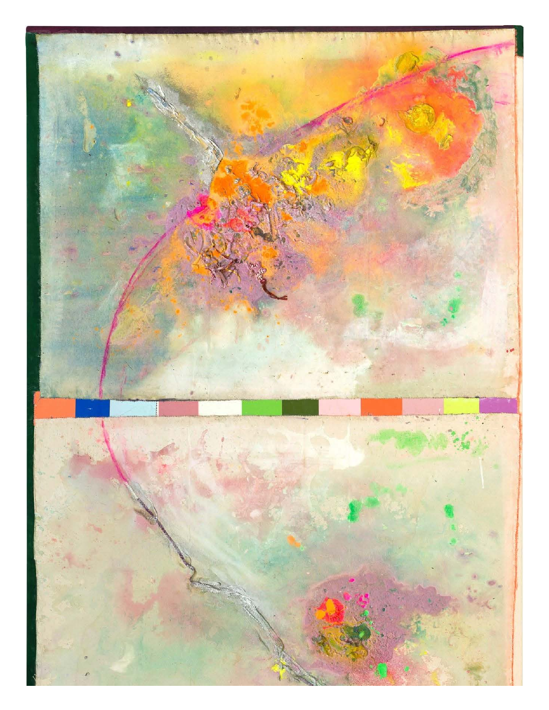